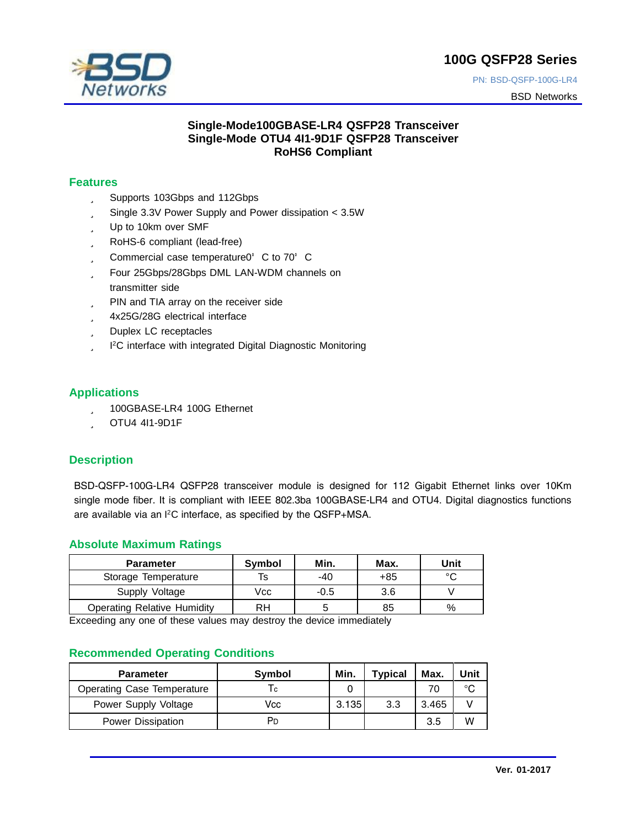

PN: BSD-QSFP-100G-LR4

BSD Networks

#### **Single-Mode100GBASE-LR4 QSFP28 Transceiver Single-Mode OTU4 4I1-9D1F QSFP28 Transceiver RoHS6 Compliant**

#### **Features**

- ü Supports 103Gbps and 112Gbps
- ü Single 3.3V Power Supply and Power dissipation < 3.5W
- ü Up to 10km over SMF
- ü RoHS-6 compliant (lead-free)
- ü Commercial case temperature0°C to 70°C
- ü Four 25Gbps/28Gbps DML LAN-WDM channels on transmitter side
- ü PIN and TIA array on the receiver side
- ü 4x25G/28G electrical interface
- ü Duplex LC receptacles
- ü I <sup>2</sup>C interface with integrated Digital Diagnostic Monitoring

#### **Applications**

- ü 100GBASE-LR4 100G Ethernet
- ü OTU4 4I1-9D1F

## **Description**

BSD-QSFP-100G-LR4 QSFP28 transceiver module is designed for 112 Gigabit Ethernet links over 10Km single mode fiber. It is compliant with IEEE 802.3ba 100GBASE-LR4 and OTU4. Digital diagnostics functions are available via an l<sup>2</sup>C interface, as specified by the QSFP+MSA.

#### **Absolute Maximum Ratings**

| <b>Parameter</b>                   | <b>Symbol</b> | Min. | Max. | Unit   |
|------------------------------------|---------------|------|------|--------|
| Storage Temperature                | Ts            | -40  | +85  | $\sim$ |
| Supply Voltage                     | Vcc           | -0.5 | 3.6  |        |
| <b>Operating Relative Humidity</b> | RH            | 5    | 85   | $\%$   |

Exceeding any one of these values may destroy the device immediately

#### **Recommended Operating Conditions**

| <b>Parameter</b>                  | <b>Symbol</b> | Min.  | <b>Typical</b> | Max.  | Unit |
|-----------------------------------|---------------|-------|----------------|-------|------|
| <b>Operating Case Temperature</b> | ΙC            |       |                |       | °C   |
| Power Supply Voltage              | Vcc           | 3.135 | 3.3            | 3.465 |      |
| Power Dissipation                 | Pn            |       |                | 3.5   | W    |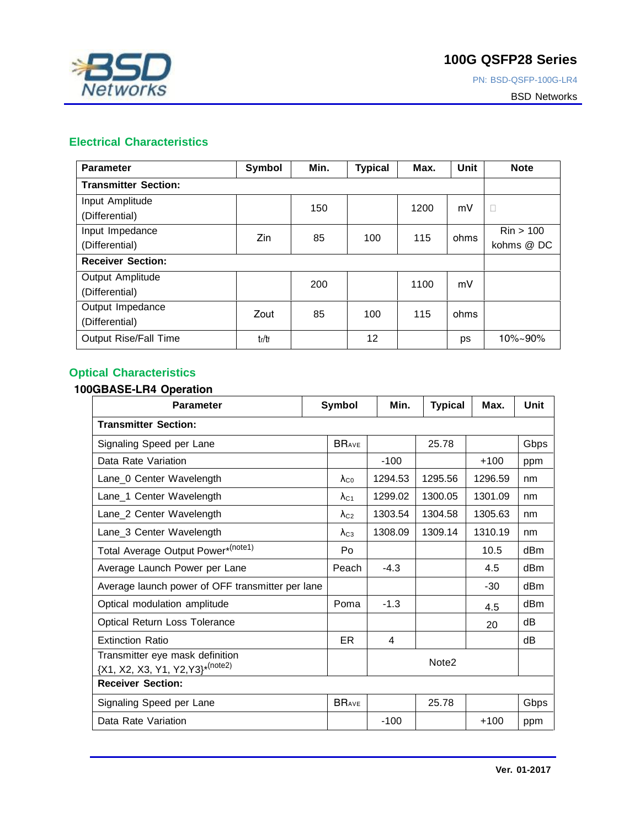

PN: BSD-QSFP-100G-LR4

BSD Networks

## **Electrical Characteristics**

| <b>Parameter</b>            | Symbol | Min. | <b>Typical</b> | Max. | Unit | <b>Note</b>          |
|-----------------------------|--------|------|----------------|------|------|----------------------|
| <b>Transmitter Section:</b> |        |      |                |      |      |                      |
| Input Amplitude             |        | 150  |                | 1200 | mV   | $\Box$               |
| (Differential)              |        |      |                |      |      |                      |
| Input Impedance             | Zin    | 85   | 100            | 115  | ohms | $\mathrm{Rin} > 100$ |
| (Differential)              |        |      |                |      |      | kohms @ DC           |
| <b>Receiver Section:</b>    |        |      |                |      |      |                      |
| Output Amplitude            |        | 200  |                | 1100 | mV   |                      |
| (Differential)              |        |      |                |      |      |                      |
| Output Impedance            | Zout   | 85   | 100            | 115  | ohms |                      |
| (Differential)              |        |      |                |      |      |                      |
| Output Rise/Fall Time       | tr/tf  |      | 12             |      | ps   | $10\% - 90\%$        |

## **Optical Characteristics**

#### **100GBASE-LR4 Operation**

| <b>Parameter</b>                                                     | Symbol                | Min.    | <b>Typical</b>    | Max.    | Unit |
|----------------------------------------------------------------------|-----------------------|---------|-------------------|---------|------|
| <b>Transmitter Section:</b>                                          |                       |         |                   |         |      |
| Signaling Speed per Lane                                             |                       |         | 25.78             |         | Gbps |
| Data Rate Variation                                                  |                       | $-100$  |                   | $+100$  | ppm  |
| Lane_0 Center Wavelength                                             | $\lambda_{\text{C}0}$ | 1294.53 | 1295.56           | 1296.59 | nm   |
| Lane_1 Center Wavelength                                             | $\lambda_{C1}$        | 1299.02 | 1300.05           | 1301.09 | nm   |
| Lane_2 Center Wavelength                                             |                       | 1303.54 | 1304.58           | 1305.63 | nm   |
| Lane_3 Center Wavelength                                             | $\lambda_{C3}$        | 1308.09 | 1309.14           | 1310.19 | nm   |
| Total Average Output Power*(note1)                                   | Po                    |         |                   | 10.5    | dBm  |
| Average Launch Power per Lane                                        | Peach                 | $-4.3$  |                   | 4.5     | dBm  |
| Average launch power of OFF transmitter per lane                     |                       |         |                   | -30     | dBm  |
| Optical modulation amplitude                                         | Poma                  | $-1.3$  |                   | 4.5     | dBm  |
| Optical Return Loss Tolerance                                        |                       |         |                   | 20      | dB   |
| <b>Extinction Ratio</b>                                              | ER.                   | 4       |                   |         | dB   |
| Transmitter eye mask definition<br>{X1, X2, X3, Y1, Y2, Y3}* (note2) |                       |         | Note <sub>2</sub> |         |      |
| <b>Receiver Section:</b>                                             |                       |         |                   |         |      |
| Signaling Speed per Lane                                             |                       |         | 25.78             |         | Gbps |
| Data Rate Variation                                                  |                       | $-100$  |                   | $+100$  | ppm  |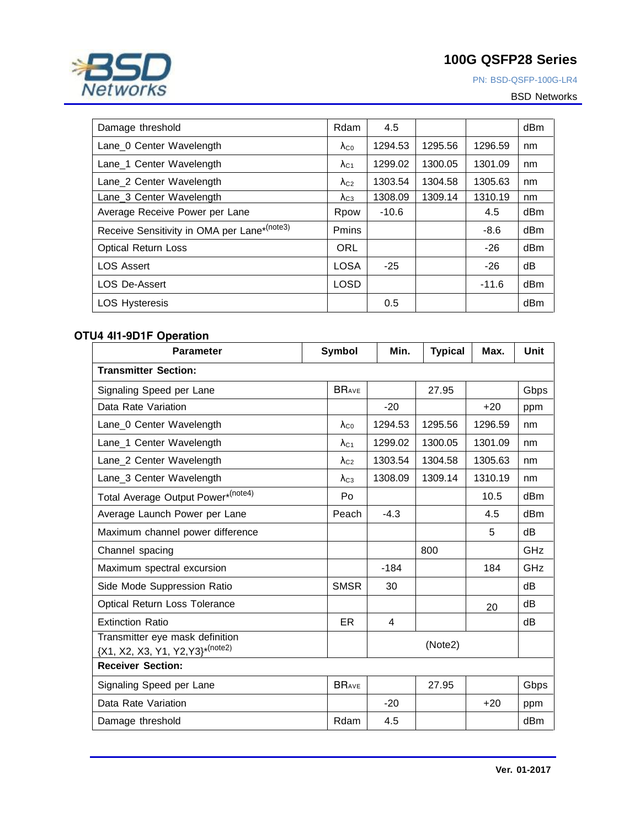

PN: BSD-QSFP-100G-LR4

BSD Networks

| Damage threshold                            | Rdam           | 4.5     |         |         | dBm |
|---------------------------------------------|----------------|---------|---------|---------|-----|
| Lane 0 Center Wavelength                    | $\lambda_{C}$  | 1294.53 | 1295.56 | 1296.59 | nm  |
| Lane 1 Center Wavelength                    | $\lambda_{C1}$ | 1299.02 | 1300.05 | 1301.09 | nm  |
| Lane_2 Center Wavelength                    | $\lambda_{C2}$ | 1303.54 | 1304.58 | 1305.63 | nm  |
| Lane 3 Center Wavelength                    | $\Lambda_{C3}$ | 1308.09 | 1309.14 | 1310.19 | nm  |
| Average Receive Power per Lane              | Rpow           | $-10.6$ |         | 4.5     | dBm |
| Receive Sensitivity in OMA per Lane*(note3) | Pmins          |         |         | $-8.6$  | dBm |
| <b>Optical Return Loss</b>                  | <b>ORL</b>     |         |         | -26     | dBm |
| <b>LOS Assert</b>                           | LOSA           | $-25$   |         | -26     | dB  |
| <b>LOS De-Assert</b>                        | <b>LOSD</b>    |         |         | $-11.6$ | dBm |
| <b>LOS Hysteresis</b>                       |                | 0.5     |         |         | dBm |

#### **OTU4 4I1-9D1F Operation**

| <b>Parameter</b>                                                     | Symbol                | Min.    | <b>Typical</b> | Max.    | Unit |
|----------------------------------------------------------------------|-----------------------|---------|----------------|---------|------|
| <b>Transmitter Section:</b>                                          |                       |         |                |         |      |
| Signaling Speed per Lane                                             | <b>BRAVE</b>          |         | 27.95          |         | Gbps |
| Data Rate Variation                                                  |                       | $-20$   |                | $+20$   | ppm  |
| Lane_0 Center Wavelength                                             | $\lambda_{\text{CO}}$ | 1294.53 | 1295.56        | 1296.59 | nm   |
| Lane_1 Center Wavelength                                             | $\lambda_{C1}$        | 1299.02 | 1300.05        | 1301.09 | nm   |
| Lane_2 Center Wavelength                                             | $\lambda_{C2}$        | 1303.54 | 1304.58        | 1305.63 | nm   |
| Lane_3 Center Wavelength                                             | $\lambda_{C3}$        | 1308.09 | 1309.14        | 1310.19 | nm   |
| Total Average Output Power*(note4)                                   | Po                    |         |                | 10.5    | dBm  |
| Average Launch Power per Lane                                        | Peach                 | $-4.3$  |                | 4.5     | dBm  |
| Maximum channel power difference                                     |                       |         |                | 5       | dB   |
| Channel spacing                                                      |                       |         | 800            |         | GHz  |
| Maximum spectral excursion                                           |                       | $-184$  |                | 184     | GHz  |
| Side Mode Suppression Ratio                                          | <b>SMSR</b>           | 30      |                |         | dB   |
| Optical Return Loss Tolerance                                        |                       |         |                | 20      | dB   |
| <b>Extinction Ratio</b>                                              | <b>ER</b>             | 4       |                |         | dB   |
| Transmitter eye mask definition<br>{X1, X2, X3, Y1, Y2, Y3}* (note2) |                       |         | (Note2)        |         |      |
| <b>Receiver Section:</b>                                             |                       |         |                |         |      |
| Signaling Speed per Lane                                             | <b>BRAVE</b>          |         | 27.95          |         | Gbps |
| Data Rate Variation                                                  |                       | $-20$   |                | $+20$   | ppm  |
| Damage threshold                                                     | Rdam                  | 4.5     |                |         | dBm  |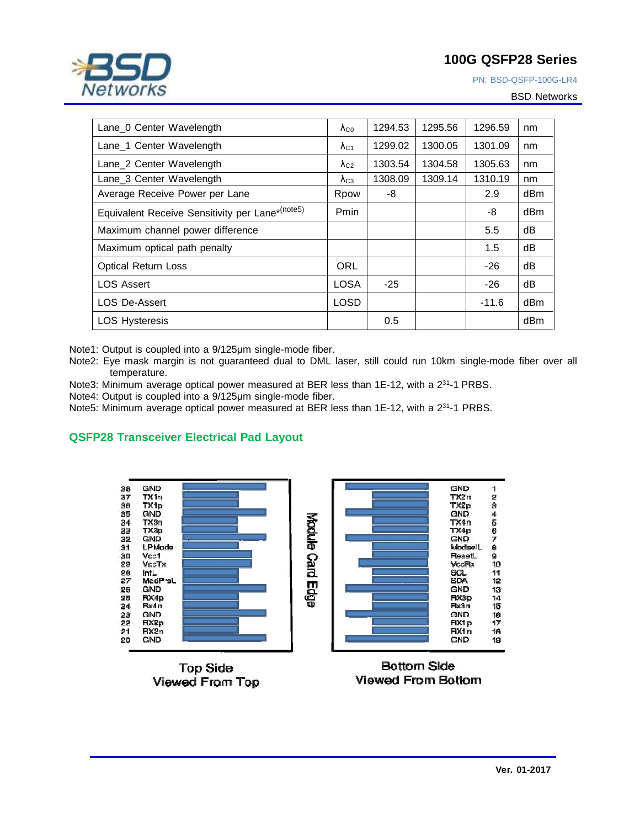

BSD Networks

| Lane_0 Center Wavelength                        | $\lambda_{C}$           | 1294.53 | 1295.56 | 1296.59 | nm              |
|-------------------------------------------------|-------------------------|---------|---------|---------|-----------------|
| Lane 1 Center Wavelength                        | $\Lambda$ <sub>C1</sub> | 1299.02 | 1300.05 | 1301.09 | nm              |
| Lane 2 Center Wavelength                        | $\lambda_{C2}$          | 1303.54 | 1304.58 | 1305.63 | nm              |
| Lane 3 Center Wavelength                        | $\lambda_{C3}$          | 1308.09 | 1309.14 | 1310.19 | nm              |
| Average Receive Power per Lane                  | Rpow                    | -8      |         | 2.9     | dBm             |
| Equivalent Receive Sensitivity per Lane*(note5) | Pmin                    |         |         | -8      | dB <sub>m</sub> |
| Maximum channel power difference                |                         |         |         | 5.5     | dB              |
| Maximum optical path penalty                    |                         |         |         | 1.5     | dB              |
| <b>Optical Return Loss</b>                      | ORL                     |         |         | -26     | dB              |
| <b>LOS Assert</b>                               | <b>LOSA</b>             | $-25$   |         | -26     | dB              |
| <b>LOS De-Assert</b>                            | <b>LOSD</b>             |         |         | $-11.6$ | dBm             |
| <b>LOS Hysteresis</b>                           |                         | 0.5     |         |         | dBm             |

Note1: Output is coupled into a 9/125μm single-mode fiber.

Note2: Eye mask margin is not guaranteed dual to DML laser, still could run 10km single-mode fiber over all temperature.

Note3: Minimum average optical power measured at BER less than 1E-12, with a 2<sup>31</sup>-1 PRBS.

Note4: Output is coupled into a 9/125μm single-mode fiber.

Note5: Minimum average optical power measured at BER less than 1E-12, with a 2<sup>31</sup>-1 PRBS.

## **QSFP28 Transceiver Electrical Pad Layout**



**Top Side** Viewed From Top



Bottom Side Viewed From Bottom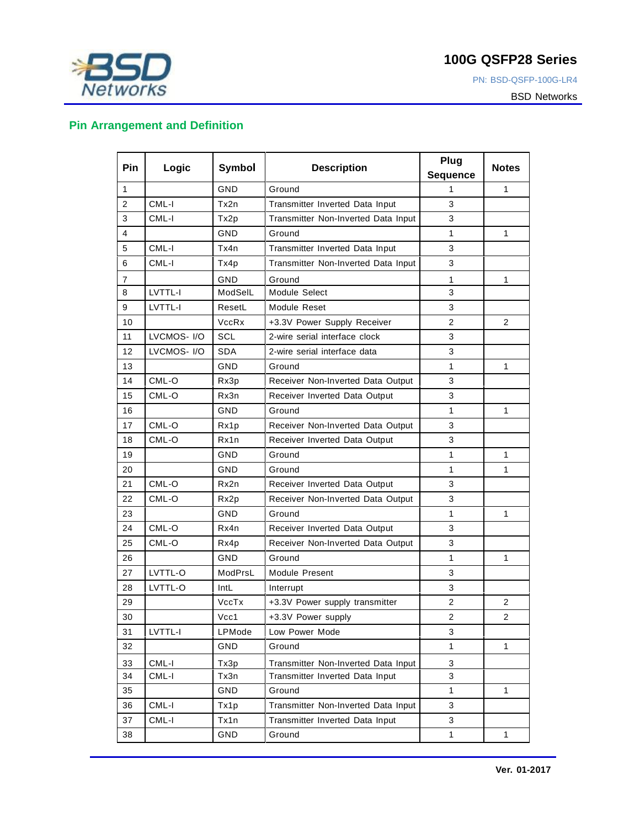# **BSD**<br>Networks

## **100G QSFP28 Series**

PN: BSD-QSFP-100G-LR4

BSD Networks

## **Pin Arrangement and Definition**

| Pin            | Logic       | Symbol       | <b>Description</b>                  | Plug<br><b>Sequence</b> | <b>Notes</b>   |
|----------------|-------------|--------------|-------------------------------------|-------------------------|----------------|
| $\mathbf{1}$   |             | GND          | Ground                              | 1                       | 1              |
| $\overline{2}$ | CML-I       | Tx2n         | Transmitter Inverted Data Input     | 3                       |                |
| 3              | CML-I       | Tx2p         | Transmitter Non-Inverted Data Input | 3                       |                |
| 4              |             | GND          | Ground                              | 1                       | 1              |
| 5              | CML-I       | Tx4n         | Transmitter Inverted Data Input     | 3                       |                |
| 6              | CML-I       | Tx4p         | Transmitter Non-Inverted Data Input | 3                       |                |
| 7              |             | GND          | Ground                              | 1                       | 1              |
| 8              | LVTTL-I     | ModSelL      | Module Select                       | 3                       |                |
| 9              | LVTTL-I     | ResetL       | Module Reset                        | 3                       |                |
| 10             |             | <b>VccRx</b> | +3.3V Power Supply Receiver         | $\overline{2}$          | $\overline{2}$ |
| 11             | LVCMOS- I/O | SCL          | 2-wire serial interface clock       | 3                       |                |
| 12             | LVCMOS- I/O | <b>SDA</b>   | 2-wire serial interface data        | 3                       |                |
| 13             |             | GND          | Ground                              | 1                       | 1              |
| 14             | CML-O       | Rx3p         | Receiver Non-Inverted Data Output   | 3                       |                |
| 15             | CML-O       | Rx3n         | Receiver Inverted Data Output       | 3                       |                |
| 16             |             | GND          | Ground                              | 1                       | 1              |
| 17             | CML-O       | Rx1p         | Receiver Non-Inverted Data Output   | 3                       |                |
| 18             | CML-O       | Rx1n         | Receiver Inverted Data Output       | 3                       |                |
| 19             |             | GND          | Ground                              | $\mathbf{1}$            | 1              |
| 20             |             | GND          | Ground                              | 1                       | 1              |
| 21             | CML-O       | Rx2n         | Receiver Inverted Data Output       | 3                       |                |
| 22             | CML-O       | Rx2p         | Receiver Non-Inverted Data Output   | 3                       |                |
| 23             |             | GND          | Ground                              | 1                       | 1              |
| 24             | CML-O       | Rx4n         | Receiver Inverted Data Output       | 3                       |                |
| 25             | CML-O       | Rx4p         | Receiver Non-Inverted Data Output   | 3                       |                |
| 26             |             | GND          | Ground                              | 1                       | 1              |
| 27             | LVTTL-O     | ModPrsL      | Module Present                      | 3                       |                |
| 28             | LVTTL-O     | IntL         | Interrupt                           | 3                       |                |
| 29             |             | VccTx        | +3.3V Power supply transmitter      | $\mathbf{2}$            | 2              |
| 30             |             | Vcc1         | +3.3V Power supply                  | $\overline{2}$          | 2              |
| 31             | LVTTL-I     | LPMode       | Low Power Mode                      | 3                       |                |
| 32             |             | GND          | Ground                              | 1                       | 1              |
| 33             | CML-I       | Tx3p         | Transmitter Non-Inverted Data Input | 3                       |                |
| 34             | CML-I       | Tx3n         | Transmitter Inverted Data Input     | 3                       |                |
| 35             |             | GND          | Ground                              | $\mathbf{1}$            | 1              |
| 36             | CML-I       | Tx1p         | Transmitter Non-Inverted Data Input | 3                       |                |
| 37             | CML-I       | Tx1n         | Transmitter Inverted Data Input     | 3                       |                |
| 38             |             | GND          | Ground                              | $\mathbf{1}$            | 1              |